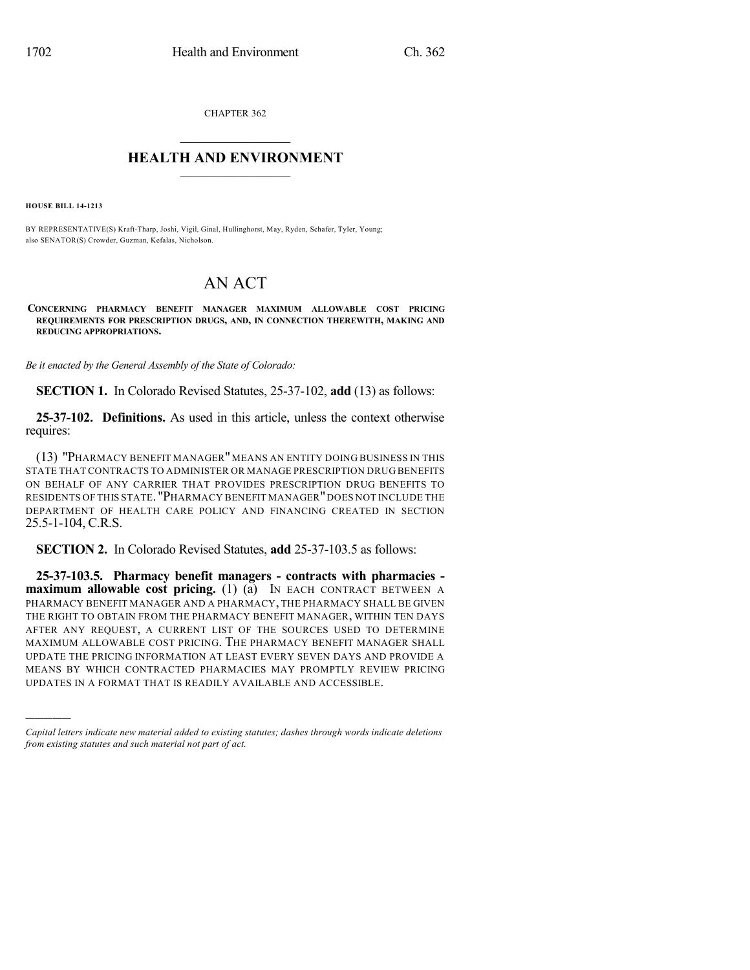CHAPTER 362  $\overline{\phantom{a}}$  . The set of the set of the set of the set of the set of the set of the set of the set of the set of the set of the set of the set of the set of the set of the set of the set of the set of the set of the set o

## **HEALTH AND ENVIRONMENT**  $\_$

**HOUSE BILL 14-1213**

)))))

BY REPRESENTATIVE(S) Kraft-Tharp, Joshi, Vigil, Ginal, Hullinghorst, May, Ryden, Schafer, Tyler, Young; also SENATOR(S) Crowder, Guzman, Kefalas, Nicholson.

## AN ACT

**CONCERNING PHARMACY BENEFIT MANAGER MAXIMUM ALLOWABLE COST PRICING REQUIREMENTS FOR PRESCRIPTION DRUGS, AND, IN CONNECTION THEREWITH, MAKING AND REDUCING APPROPRIATIONS.**

*Be it enacted by the General Assembly of the State of Colorado:*

**SECTION 1.** In Colorado Revised Statutes, 25-37-102, **add** (13) as follows:

**25-37-102. Definitions.** As used in this article, unless the context otherwise requires:

(13) "PHARMACY BENEFIT MANAGER"MEANS AN ENTITY DOING BUSINESS IN THIS STATE THAT CONTRACTS TO ADMINISTER OR MANAGE PRESCRIPTION DRUG BENEFITS ON BEHALF OF ANY CARRIER THAT PROVIDES PRESCRIPTION DRUG BENEFITS TO RESIDENTS OF THIS STATE. "PHARMACY BENEFIT MANAGER"DOES NOT INCLUDE THE DEPARTMENT OF HEALTH CARE POLICY AND FINANCING CREATED IN SECTION 25.5-1-104, C.R.S.

**SECTION 2.** In Colorado Revised Statutes, **add** 25-37-103.5 as follows:

**25-37-103.5. Pharmacy benefit managers - contracts with pharmacies maximum allowable cost pricing.** (1) (a) IN EACH CONTRACT BETWEEN A PHARMACY BENEFIT MANAGER AND A PHARMACY, THE PHARMACY SHALL BE GIVEN THE RIGHT TO OBTAIN FROM THE PHARMACY BENEFIT MANAGER, WITHIN TEN DAYS AFTER ANY REQUEST, A CURRENT LIST OF THE SOURCES USED TO DETERMINE MAXIMUM ALLOWABLE COST PRICING. THE PHARMACY BENEFIT MANAGER SHALL UPDATE THE PRICING INFORMATION AT LEAST EVERY SEVEN DAYS AND PROVIDE A MEANS BY WHICH CONTRACTED PHARMACIES MAY PROMPTLY REVIEW PRICING UPDATES IN A FORMAT THAT IS READILY AVAILABLE AND ACCESSIBLE.

*Capital letters indicate new material added to existing statutes; dashes through words indicate deletions from existing statutes and such material not part of act.*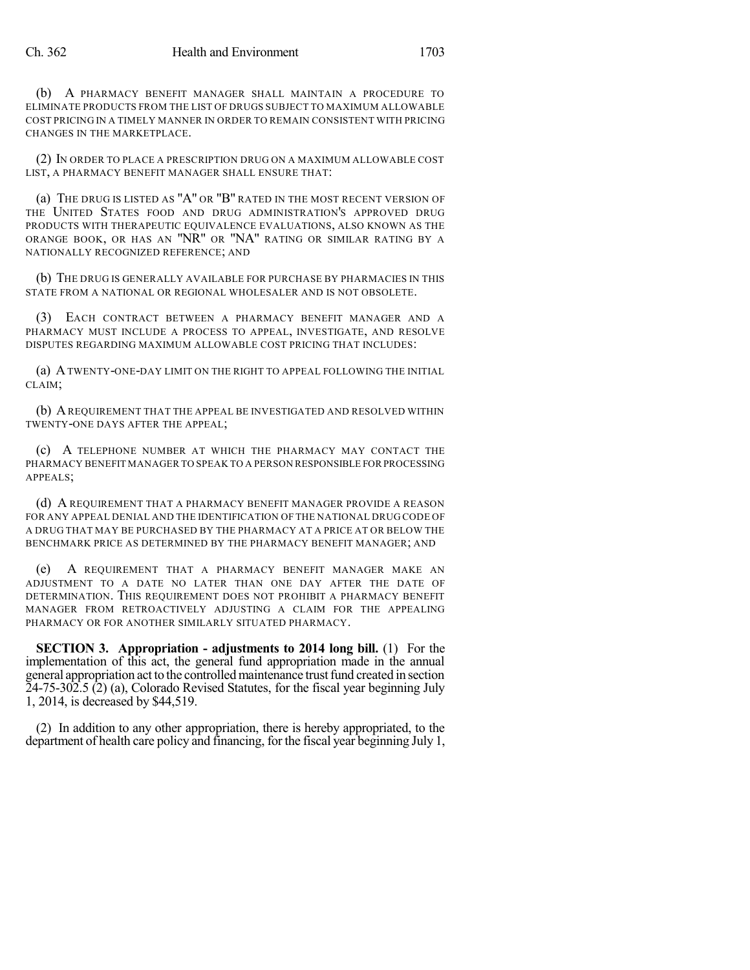(b) A PHARMACY BENEFIT MANAGER SHALL MAINTAIN A PROCEDURE TO ELIMINATE PRODUCTS FROM THE LIST OF DRUGS SUBJECT TO MAXIMUM ALLOWABLE COST PRICING IN A TIMELY MANNER IN ORDER TO REMAIN CONSISTENT WITH PRICING CHANGES IN THE MARKETPLACE.

(2) IN ORDER TO PLACE A PRESCRIPTION DRUG ON A MAXIMUM ALLOWABLE COST LIST, A PHARMACY BENEFIT MANAGER SHALL ENSURE THAT:

(a) THE DRUG IS LISTED AS "A" OR "B" RATED IN THE MOST RECENT VERSION OF THE UNITED STATES FOOD AND DRUG ADMINISTRATION'S APPROVED DRUG PRODUCTS WITH THERAPEUTIC EQUIVALENCE EVALUATIONS, ALSO KNOWN AS THE ORANGE BOOK, OR HAS AN "NR" OR "NA" RATING OR SIMILAR RATING BY A NATIONALLY RECOGNIZED REFERENCE; AND

(b) THE DRUG IS GENERALLY AVAILABLE FOR PURCHASE BY PHARMACIES IN THIS STATE FROM A NATIONAL OR REGIONAL WHOLESALER AND IS NOT OBSOLETE.

(3) EACH CONTRACT BETWEEN A PHARMACY BENEFIT MANAGER AND A PHARMACY MUST INCLUDE A PROCESS TO APPEAL, INVESTIGATE, AND RESOLVE DISPUTES REGARDING MAXIMUM ALLOWABLE COST PRICING THAT INCLUDES:

(a) ATWENTY-ONE-DAY LIMIT ON THE RIGHT TO APPEAL FOLLOWING THE INITIAL CLAIM;

(b) AREQUIREMENT THAT THE APPEAL BE INVESTIGATED AND RESOLVED WITHIN TWENTY-ONE DAYS AFTER THE APPEAL;

(c) A TELEPHONE NUMBER AT WHICH THE PHARMACY MAY CONTACT THE PHARMACY BENEFIT MANAGER TO SPEAK TO A PERSON RESPONSIBLE FOR PROCESSING APPEALS;

(d) A REQUIREMENT THAT A PHARMACY BENEFIT MANAGER PROVIDE A REASON FOR ANY APPEAL DENIAL AND THE IDENTIFICATION OF THE NATIONAL DRUG CODE OF A DRUG THAT MAY BE PURCHASED BY THE PHARMACY AT A PRICE AT OR BELOW THE BENCHMARK PRICE AS DETERMINED BY THE PHARMACY BENEFIT MANAGER; AND

(e) A REQUIREMENT THAT A PHARMACY BENEFIT MANAGER MAKE AN ADJUSTMENT TO A DATE NO LATER THAN ONE DAY AFTER THE DATE OF DETERMINATION. THIS REQUIREMENT DOES NOT PROHIBIT A PHARMACY BENEFIT MANAGER FROM RETROACTIVELY ADJUSTING A CLAIM FOR THE APPEALING PHARMACY OR FOR ANOTHER SIMILARLY SITUATED PHARMACY.

**SECTION 3. Appropriation - adjustments to 2014 long bill.** (1) For the implementation of this act, the general fund appropriation made in the annual general appropriation act to the controlledmaintenance trustfund created in section 24-75-302.5 (2) (a), Colorado Revised Statutes, for the fiscal year beginning July 1, 2014, is decreased by \$44,519.

(2) In addition to any other appropriation, there is hereby appropriated, to the department of health care policy and financing, for the fiscal year beginning July 1,